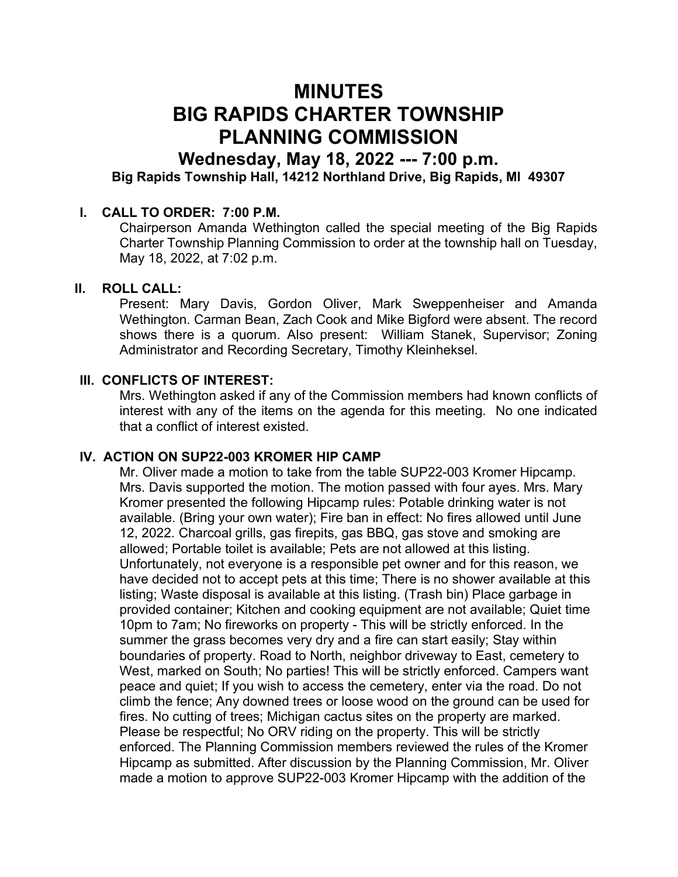# MINUTES BIG RAPIDS CHARTER TOWNSHIP PLANNING COMMISSION

## Wednesday, May 18, 2022 --- 7:00 p.m. Big Rapids Township Hall, 14212 Northland Drive, Big Rapids, MI 49307

#### I. CALL TO ORDER: 7:00 P.M.

Chairperson Amanda Wethington called the special meeting of the Big Rapids Charter Township Planning Commission to order at the township hall on Tuesday, May 18, 2022, at 7:02 p.m.

#### II. ROLL CALL:

Present: Mary Davis, Gordon Oliver, Mark Sweppenheiser and Amanda Wethington. Carman Bean, Zach Cook and Mike Bigford were absent. The record shows there is a quorum. Also present: William Stanek, Supervisor; Zoning Administrator and Recording Secretary, Timothy Kleinheksel.

#### III. CONFLICTS OF INTEREST:

Mrs. Wethington asked if any of the Commission members had known conflicts of interest with any of the items on the agenda for this meeting. No one indicated that a conflict of interest existed.

#### IV. ACTION ON SUP22-003 KROMER HIP CAMP

Mr. Oliver made a motion to take from the table SUP22-003 Kromer Hipcamp. Mrs. Davis supported the motion. The motion passed with four ayes. Mrs. Mary Kromer presented the following Hipcamp rules: Potable drinking water is not available. (Bring your own water); Fire ban in effect: No fires allowed until June 12, 2022. Charcoal grills, gas firepits, gas BBQ, gas stove and smoking are allowed; Portable toilet is available; Pets are not allowed at this listing. Unfortunately, not everyone is a responsible pet owner and for this reason, we have decided not to accept pets at this time; There is no shower available at this listing; Waste disposal is available at this listing. (Trash bin) Place garbage in provided container; Kitchen and cooking equipment are not available; Quiet time 10pm to 7am; No fireworks on property - This will be strictly enforced. In the summer the grass becomes very dry and a fire can start easily; Stay within boundaries of property. Road to North, neighbor driveway to East, cemetery to West, marked on South; No parties! This will be strictly enforced. Campers want peace and quiet; If you wish to access the cemetery, enter via the road. Do not climb the fence; Any downed trees or loose wood on the ground can be used for fires. No cutting of trees; Michigan cactus sites on the property are marked. Please be respectful; No ORV riding on the property. This will be strictly enforced. The Planning Commission members reviewed the rules of the Kromer Hipcamp as submitted. After discussion by the Planning Commission, Mr. Oliver made a motion to approve SUP22-003 Kromer Hipcamp with the addition of the